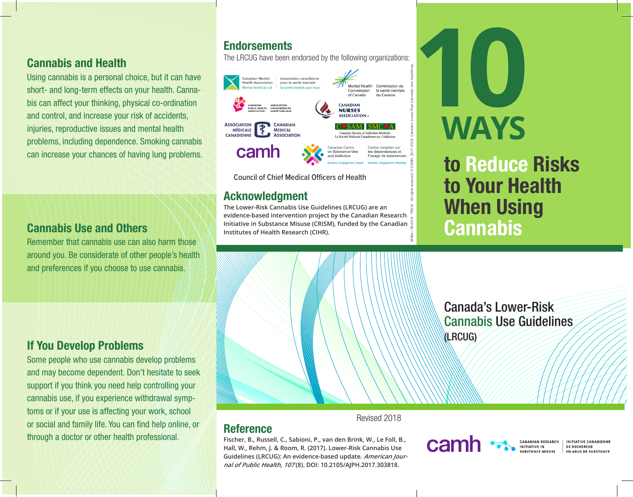#### Cannabis and Health

Using cannabis is a personal choice, but it can have short- and long-term effects on your health. Cannabis can affect your thinking, physical co-ordination and control, and increase your risk of accidents, injuries, reproductive issues and mental health problems, including dependence. Smoking cannabis can increase your chances of having lung problems.

#### Cannabis Use and Others

Remember that cannabis use can also harm those around you. Be considerate of other people's health and preferences if you choose to use cannabis.

#### If You Develop Problems

Some people who use cannabis develop problems and may become dependent. Don't hesitate to seek support if you think you need help controlling your cannabis use, if you experience withdrawal symptoms or if your use is affecting your work, school or social and family life. You can find help online, or through a doctor or other health professional.

### **Endorsements**

The LRCUG have been endorsed by the following organizations:



Council of Chief Medical Officers of Health

#### Acknowledgment

**Reference** 

**The Lower-Risk Cannabis Use Guidelines (LRCUG) are an evidence-based intervention project by the Canadian Research Initiative in Substance Misuse (CRISM), funded by the Canadian Institutes of Health Research (CIHR).**



to Reduce Risks to Your Health When Using **Cannabis** 

Canada's Lower-Risk

Cannabis Use Guidelines



**Fischer, B., Russell, C., Sabioni, P., van den Brink, W., Le Foll, B., Hall, W., Rehm, J. & Room, R. (2017). Lower-Risk Cannabis Use Guidelines (LRCUG): An evidence-based update. American Journal of Public Health, 107 (8). DOI: 10.2105/AJPH.2017.303818.**

#### Revised 2018

## cam

(LRCUG)

CANADIAN RESEARC INITIATIVE IN

INITIATIVE CANADIENNI DE RECHERCHE **FN ARIIS DE SURSTANCE**